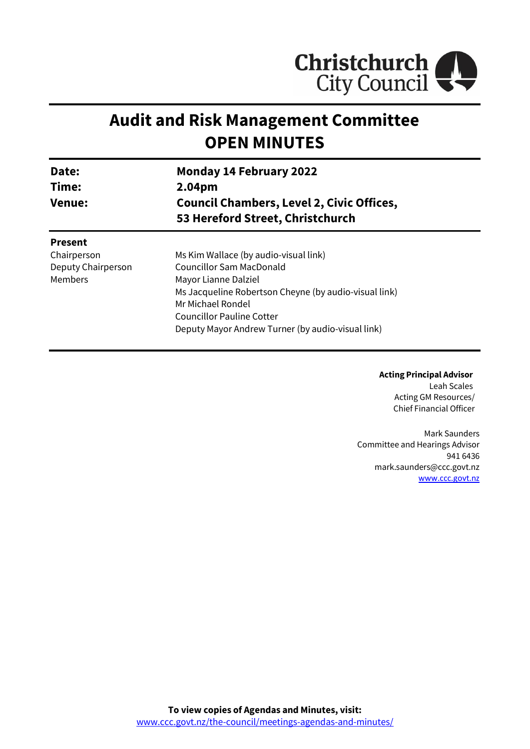

# **Audit and Risk Management Committee OPEN MINUTES**

| Date:<br>Time:<br><b>Venue:</b> | <b>Monday 14 February 2022</b><br>2.04pm              |  |
|---------------------------------|-------------------------------------------------------|--|
|                                 |                                                       |  |
|                                 | <b>Present</b>                                        |  |
| Chairperson                     | Ms Kim Wallace (by audio-visual link)                 |  |
| Deputy Chairperson              | <b>Councillor Sam MacDonald</b>                       |  |
| Members                         | Mayor Lianne Dalziel                                  |  |
|                                 | Ms Jacqueline Robertson Cheyne (by audio-visual link) |  |
|                                 | Mr Michael Rondel                                     |  |
|                                 | <b>Councillor Pauline Cotter</b>                      |  |
|                                 | Deputy Mayor Andrew Turner (by audio-visual link)     |  |

**Acting Principal Advisor** Leah Scales Acting GM Resources/ Chief Financial Officer

Mark Saunders Committee and Hearings Advisor 941 6436 mark.saunders@ccc.govt.nz [www.ccc.govt.nz](http://www.ccc.govt.nz/)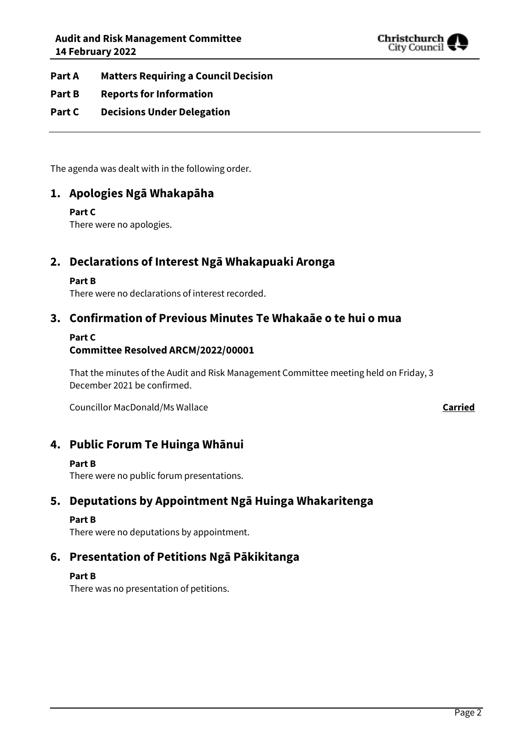

### **Part A Matters Requiring a Council Decision**

### **Part B Reports for Information**

# **Part C Decisions Under Delegation**

The agenda was dealt with in the following order.

# **1. Apologies Ngā Whakapāha**

#### **Part C**

There were no apologies.

# **2. Declarations of Interest Ngā Whakapuaki Aronga**

#### **Part B**

There were no declarations of interest recorded.

# **3. Confirmation of Previous Minutes Te Whakaāe o te hui o mua**

#### **Part C**

### **Committee Resolved ARCM/2022/00001**

That the minutes of the Audit and Risk Management Committee meeting held on Friday, 3 December 2021 be confirmed.

Councillor MacDonald/Ms Wallace **Carried**

# **4. Public Forum Te Huinga Whānui**

#### **Part B**

There were no public forum presentations.

# **5. Deputations by Appointment Ngā Huinga Whakaritenga**

#### **Part B**

There were no deputations by appointment.

# **6. Presentation of Petitions Ngā Pākikitanga**

#### **Part B**

There was no presentation of petitions.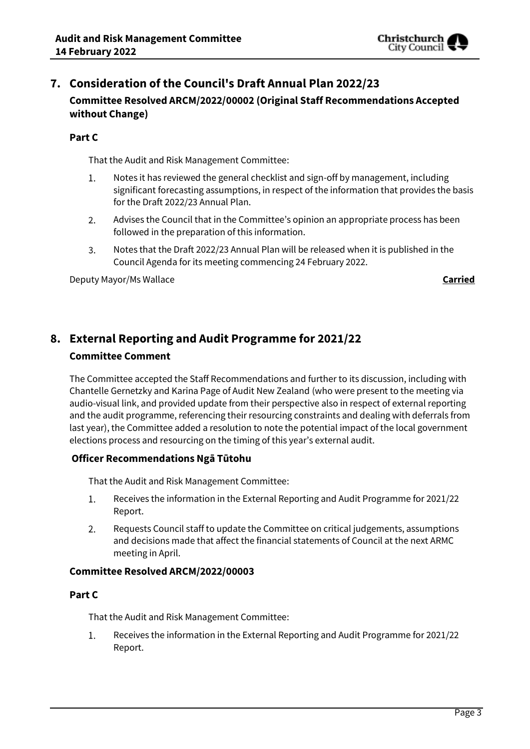

# **7. Consideration of the Council's Draft Annual Plan 2022/23 Committee Resolved ARCM/2022/00002 (Original Staff Recommendations Accepted without Change)**

#### **Part C**

That the Audit and Risk Management Committee:

- Notes it has reviewed the general checklist and sign-off by management, including 1. significant forecasting assumptions, in respect of the information that provides the basis for the Draft 2022/23 Annual Plan.
- Advises the Council that in the Committee's opinion an appropriate process has been  $2.$ followed in the preparation of this information.
- Notes that the Draft 2022/23 Annual Plan will be released when it is published in the  $3.$ Council Agenda for its meeting commencing 24 February 2022.

Deputy Mayor/Ms Wallace **Carried**

# **8. External Reporting and Audit Programme for 2021/22 Committee Comment**

The Committee accepted the Staff Recommendations and further to its discussion, including with Chantelle Gernetzky and Karina Page of Audit New Zealand (who were present to the meeting via audio-visual link, and provided update from their perspective also in respect of external reporting and the audit programme, referencing their resourcing constraints and dealing with deferrals from last year), the Committee added a resolution to note the potential impact of the local government elections process and resourcing on the timing of this year's external audit.

### **Officer Recommendations Ngā Tūtohu**

That the Audit and Risk Management Committee:

- 1. Receives the information in the External Reporting and Audit Programme for 2021/22 Report.
- 2. Requests Council staff to update the Committee on critical judgements, assumptions and decisions made that affect the financial statements of Council at the next ARMC meeting in April.

#### **Committee Resolved ARCM/2022/00003**

#### **Part C**

That the Audit and Risk Management Committee:

1. Receives the information in the External Reporting and Audit Programme for 2021/22 Report.